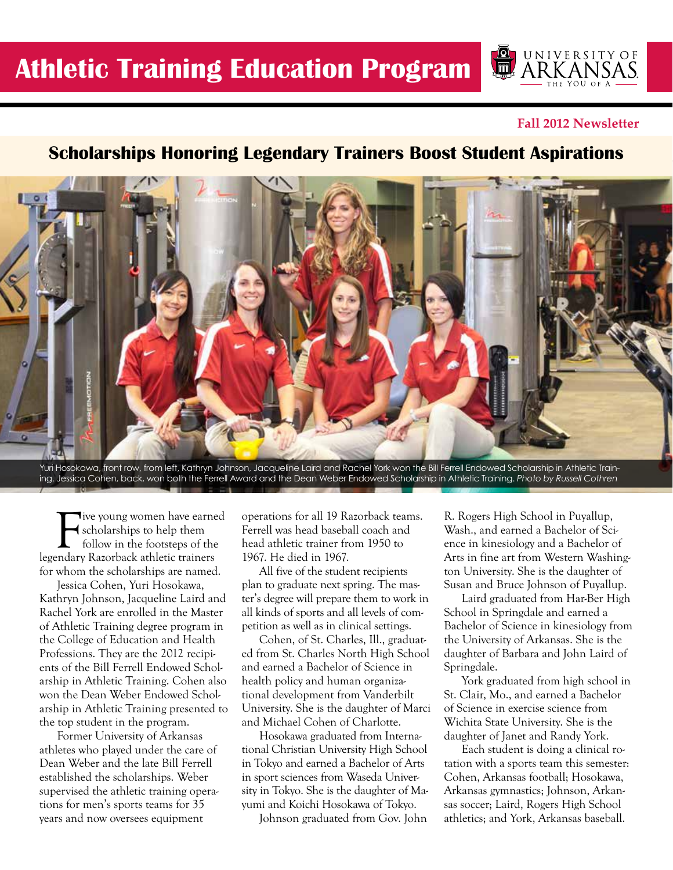### **Fall 2012 Newsletter**

UNIVERSITY OF

## **Scholarships Honoring Legendary Trainers Boost Student Aspirations**



Yuri Hosokawa, front row, from left, Kathryn Johnson, Jacqueline Laird and Rachel York won the Bill Ferrell Endowed Scholarship in Athletic Training. Jessica Cohen, back, won both the Ferrell Award and the Dean Weber Endowed Scholarship in Athletic Training. *Photo by Russell Cothren*

Tive young women have earned scholarships to help them<br>follow in the footsteps of the<br>legendary Razorback athletic trainers ive young women have earned scholarships to help them follow in the footsteps of the for whom the scholarships are named.

Jessica Cohen, Yuri Hosokawa, Kathryn Johnson, Jacqueline Laird and Rachel York are enrolled in the Master of Athletic Training degree program in the College of Education and Health Professions. They are the 2012 recipients of the Bill Ferrell Endowed Scholarship in Athletic Training. Cohen also won the Dean Weber Endowed Scholarship in Athletic Training presented to the top student in the program.

Former University of Arkansas athletes who played under the care of Dean Weber and the late Bill Ferrell established the scholarships. Weber supervised the athletic training operations for men's sports teams for 35 years and now oversees equipment

operations for all 19 Razorback teams. Ferrell was head baseball coach and head athletic trainer from 1950 to 1967. He died in 1967.

All five of the student recipients plan to graduate next spring. The master's degree will prepare them to work in all kinds of sports and all levels of competition as well as in clinical settings.

Cohen, of St. Charles, Ill., graduated from St. Charles North High School and earned a Bachelor of Science in health policy and human organizational development from Vanderbilt University. She is the daughter of Marci and Michael Cohen of Charlotte.

Hosokawa graduated from International Christian University High School in Tokyo and earned a Bachelor of Arts in sport sciences from Waseda University in Tokyo. She is the daughter of Mayumi and Koichi Hosokawa of Tokyo.

Johnson graduated from Gov. John

R. Rogers High School in Puyallup, Wash., and earned a Bachelor of Science in kinesiology and a Bachelor of Arts in fine art from Western Washington University. She is the daughter of Susan and Bruce Johnson of Puyallup.

Laird graduated from Har-Ber High School in Springdale and earned a Bachelor of Science in kinesiology from the University of Arkansas. She is the daughter of Barbara and John Laird of Springdale.

York graduated from high school in St. Clair, Mo., and earned a Bachelor of Science in exercise science from Wichita State University. She is the daughter of Janet and Randy York.

Each student is doing a clinical rotation with a sports team this semester: Cohen, Arkansas football; Hosokawa, Arkansas gymnastics; Johnson, Arkansas soccer; Laird, Rogers High School athletics; and York, Arkansas baseball.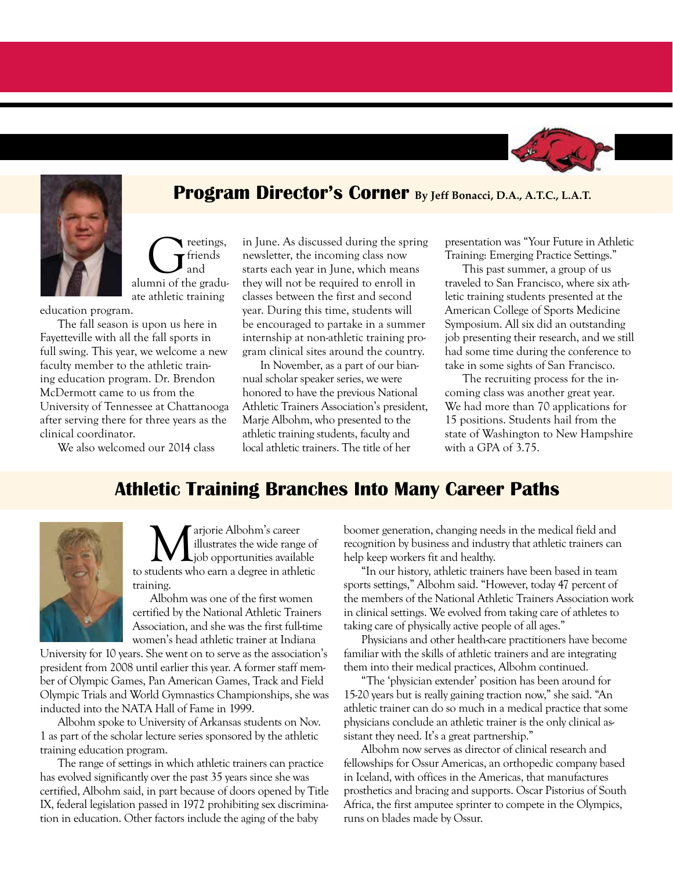

# **Program Director's Corner By Jeff Bonacci, D.A., A.T.C., L.A.T.**

**C** reetings,<br>alumni of the gradufriends and ate athletic training

education program.

The fall season is upon us here in Fayetteville with all the fall sports in full swing. This year, we welcome a new faculty member to the athletic training education program. Dr. Brendon McDermott came to us from the University of Tennessee at Chattanooga after serving there for three years as the clinical coordinator.

We also welcomed our 2014 class

in June. As discussed during the spring newsletter, the incoming class now starts each year in June, which means they will not be required to enroll in classes between the first and second year. During this time, students will be encouraged to partake in a summer internship at non-athletic training program clinical sites around the country.

In November, as a part of our biannual scholar speaker series, we were honored to have the previous National Athletic Trainers Association's president, Marje Albohm, who presented to the athletic training students, faculty and local athletic trainers. The title of her

presentation was "Your Future in Athletic Training: Emerging Practice Settings."

This past summer, a group of us traveled to San Francisco, where six athletic training students presented at the American College of Sports Medicine Symposium. All six did an outstanding job presenting their research, and we still had some time during the conference to take in some sights of San Francisco.

The recruiting process for the incoming class was another great year. We had more than 70 applications for 15 positions. Students hail from the state of Washington to New Hampshire with a GPA of 3.75.

# **Athletic Training Branches Into Many Career Paths**



Marjorie Albohm's career<br>illustrates the wide range<br>tudents who earn a degree in atble illustrates the wide range of job opportunities available to students who earn a degree in athletic training.

Albohm was one of the first women certified by the National Athletic Trainers Association, and she was the first full-time women's head athletic trainer at Indiana

University for 10 years. She went on to serve as the association's president from 2008 until earlier this year. A former staff member of Olympic Games, Pan American Games, Track and Field Olympic Trials and World Gymnastics Championships, she was inducted into the NATA Hall of Fame in 1999.

Albohm spoke to University of Arkansas students on Nov. 1 as part of the scholar lecture series sponsored by the athletic training education program.

The range of settings in which athletic trainers can practice has evolved significantly over the past 35 years since she was certified, Albohm said, in part because of doors opened by Title IX, federal legislation passed in 1972 prohibiting sex discrimination in education. Other factors include the aging of the baby

boomer generation, changing needs in the medical field and recognition by business and industry that athletic trainers can help keep workers fit and healthy.

"In our history, athletic trainers have been based in team sports settings," Albohm said. "However, today 47 percent of the members of the National Athletic Trainers Association work in clinical settings. We evolved from taking care of athletes to taking care of physically active people of all ages."

Physicians and other health-care practitioners have become familiar with the skills of athletic trainers and are integrating them into their medical practices, Albohm continued.

"The 'physician extender' position has been around for 15-20 years but is really gaining traction now," she said. "An athletic trainer can do so much in a medical practice that some physicians conclude an athletic trainer is the only clinical assistant they need. It's a great partnership."

Albohm now serves as director of clinical research and fellowships for Ossur Americas, an orthopedic company based in Iceland, with offices in the Americas, that manufactures prosthetics and bracing and supports. Oscar Pistorius of South Africa, the first amputee sprinter to compete in the Olympics, runs on blades made by Ossur.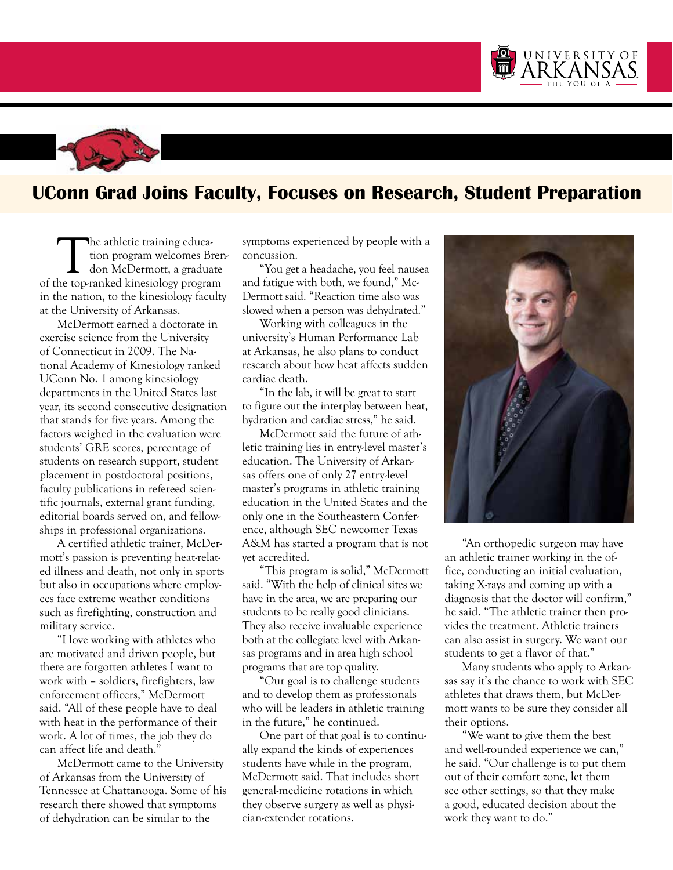



# **UConn Grad Joins Faculty, Focuses on Research, Student Preparation**

The athletic training education program welcomes Brendon McDermott, a graduate of the top-ranked kinesiology program in the nation, to the kinesiology faculty at the University of Arkansas.

McDermott earned a doctorate in exercise science from the University of Connecticut in 2009. The National Academy of Kinesiology ranked UConn No. 1 among kinesiology departments in the United States last year, its second consecutive designation that stands for five years. Among the factors weighed in the evaluation were students' GRE scores, percentage of students on research support, student placement in postdoctoral positions, faculty publications in refereed scientific journals, external grant funding, editorial boards served on, and fellowships in professional organizations.

A certified athletic trainer, McDermott's passion is preventing heat-related illness and death, not only in sports but also in occupations where employees face extreme weather conditions such as firefighting, construction and military service.

"I love working with athletes who are motivated and driven people, but there are forgotten athletes I want to work with – soldiers, firefighters, law enforcement officers," McDermott said. "All of these people have to deal with heat in the performance of their work. A lot of times, the job they do can affect life and death."

McDermott came to the University of Arkansas from the University of Tennessee at Chattanooga. Some of his research there showed that symptoms of dehydration can be similar to the

symptoms experienced by people with a concussion.

"You get a headache, you feel nausea and fatigue with both, we found," Mc-Dermott said. "Reaction time also was slowed when a person was dehydrated."

Working with colleagues in the university's Human Performance Lab at Arkansas, he also plans to conduct research about how heat affects sudden cardiac death.

"In the lab, it will be great to start to figure out the interplay between heat, hydration and cardiac stress," he said.

McDermott said the future of athletic training lies in entry-level master's education. The University of Arkansas offers one of only 27 entry-level master's programs in athletic training education in the United States and the only one in the Southeastern Conference, although SEC newcomer Texas A&M has started a program that is not yet accredited.

"This program is solid," McDermott said. "With the help of clinical sites we have in the area, we are preparing our students to be really good clinicians. They also receive invaluable experience both at the collegiate level with Arkansas programs and in area high school programs that are top quality.

"Our goal is to challenge students and to develop them as professionals who will be leaders in athletic training in the future," he continued.

One part of that goal is to continually expand the kinds of experiences students have while in the program, McDermott said. That includes short general-medicine rotations in which they observe surgery as well as physician-extender rotations.



"An orthopedic surgeon may have an athletic trainer working in the office, conducting an initial evaluation, taking X-rays and coming up with a diagnosis that the doctor will confirm," he said. "The athletic trainer then provides the treatment. Athletic trainers can also assist in surgery. We want our students to get a flavor of that."

Many students who apply to Arkansas say it's the chance to work with SEC athletes that draws them, but McDermott wants to be sure they consider all their options.

"We want to give them the best and well-rounded experience we can," he said. "Our challenge is to put them out of their comfort zone, let them see other settings, so that they make a good, educated decision about the work they want to do."